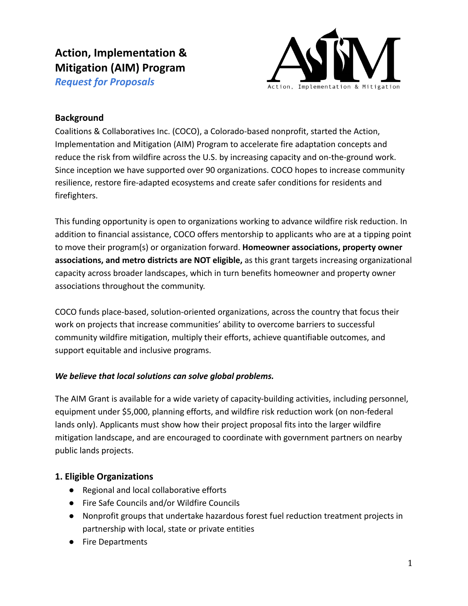# **Action, Implementation & Mitigation (AIM) Program**

*Request for Proposals*



## **Background**

Coalitions & Collaboratives Inc. (COCO), a Colorado-based nonprofit, started the Action, Implementation and Mitigation (AIM) Program to accelerate fire adaptation concepts and reduce the risk from wildfire across the U.S. by increasing capacity and on-the-ground work. Since inception we have supported over 90 organizations. COCO hopes to increase community resilience, restore fire-adapted ecosystems and create safer conditions for residents and firefighters.

This funding opportunity is open to organizations working to advance wildfire risk reduction. In addition to financial assistance, COCO offers mentorship to applicants who are at a tipping point to move their program(s) or organization forward. **Homeowner associations, property owner associations, and metro districts are NOT eligible,** as this grant targets increasing organizational capacity across broader landscapes, which in turn benefits homeowner and property owner associations throughout the community.

COCO funds place-based, solution-oriented organizations, across the country that focus their work on projects that increase communities' ability to overcome barriers to successful community wildfire mitigation, multiply their efforts, achieve quantifiable outcomes, and support equitable and inclusive programs.

#### *We believe that local solutions can solve global problems.*

The AIM Grant is available for a wide variety of capacity-building activities, including personnel, equipment under \$5,000, planning efforts, and wildfire risk reduction work (on non-federal lands only). Applicants must show how their project proposal fits into the larger wildfire mitigation landscape, and are encouraged to coordinate with government partners on nearby public lands projects.

## **1. Eligible Organizations**

- Regional and local collaborative efforts
- Fire Safe Councils and/or Wildfire Councils
- Nonprofit groups that undertake hazardous forest fuel reduction treatment projects in partnership with local, state or private entities
- Fire Departments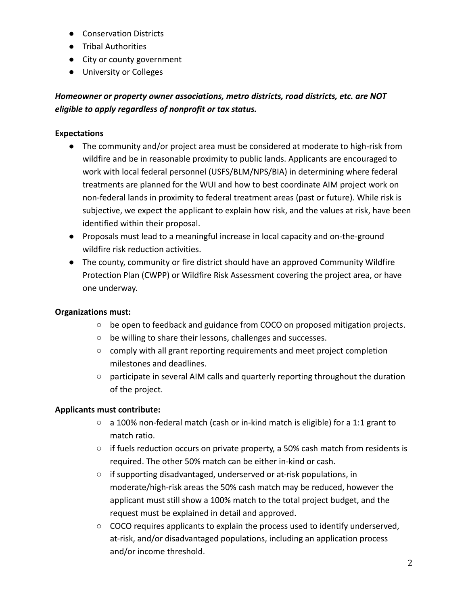- Conservation Districts
- Tribal Authorities
- City or county government
- University or Colleges

# *Homeowner or property owner associations, metro districts, road districts, etc. are NOT eligible to apply regardless of nonprofit or tax status.*

#### **Expectations**

- The community and/or project area must be considered at moderate to high-risk from wildfire and be in reasonable proximity to public lands. Applicants are encouraged to work with local federal personnel (USFS/BLM/NPS/BIA) in determining where federal treatments are planned for the WUI and how to best coordinate AIM project work on non-federal lands in proximity to federal treatment areas (past or future). While risk is subjective, we expect the applicant to explain how risk, and the values at risk, have been identified within their proposal.
- Proposals must lead to a meaningful increase in local capacity and on-the-ground wildfire risk reduction activities.
- The county, community or fire district should have an approved Community Wildfire Protection Plan (CWPP) or Wildfire Risk Assessment covering the project area, or have one underway.

#### **Organizations must:**

- $\circ$  be open to feedback and guidance from COCO on proposed mitigation projects.
- be willing to share their lessons, challenges and successes.
- comply with all grant reporting requirements and meet project completion milestones and deadlines.
- participate in several AIM calls and quarterly reporting throughout the duration of the project.

#### **Applicants must contribute:**

- a 100% non-federal match (cash or in-kind match is eligible) for a 1:1 grant to match ratio.
- $\circ$  if fuels reduction occurs on private property, a 50% cash match from residents is required. The other 50% match can be either in-kind or cash.
- if supporting disadvantaged, underserved or at-risk populations, in moderate/high-risk areas the 50% cash match may be reduced, however the applicant must still show a 100% match to the total project budget, and the request must be explained in detail and approved.
- COCO requires applicants to explain the process used to identify underserved, at-risk, and/or disadvantaged populations, including an application process and/or income threshold.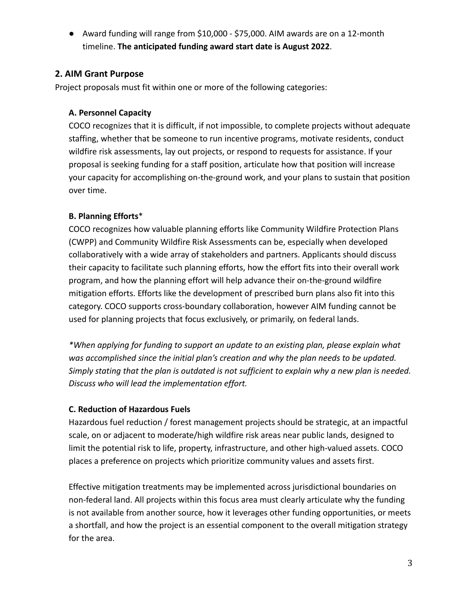● Award funding will range from \$10,000 - \$75,000. AIM awards are on a 12-month timeline. **The anticipated funding award start date is August 2022**.

## **2. AIM Grant Purpose**

Project proposals must fit within one or more of the following categories:

#### **A. Personnel Capacity**

COCO recognizes that it is difficult, if not impossible, to complete projects without adequate staffing, whether that be someone to run incentive programs, motivate residents, conduct wildfire risk assessments, lay out projects, or respond to requests for assistance. If your proposal is seeking funding for a staff position, articulate how that position will increase your capacity for accomplishing on-the-ground work, and your plans to sustain that position over time.

#### **B. Planning Efforts**\*

COCO recognizes how valuable planning efforts like Community Wildfire Protection Plans (CWPP) and Community Wildfire Risk Assessments can be, especially when developed collaboratively with a wide array of stakeholders and partners. Applicants should discuss their capacity to facilitate such planning efforts, how the effort fits into their overall work program, and how the planning effort will help advance their on-the-ground wildfire mitigation efforts. Efforts like the development of prescribed burn plans also fit into this category. COCO supports cross-boundary collaboration, however AIM funding cannot be used for planning projects that focus exclusively, or primarily, on federal lands.

*\*When applying for funding to support an update to an existing plan, please explain what was accomplished since the initial plan's creation and why the plan needs to be updated. Simply stating that the plan is outdated is not sufficient to explain why a new plan is needed. Discuss who will lead the implementation effort.*

## **C. Reduction of Hazardous Fuels**

Hazardous fuel reduction / forest management projects should be strategic, at an impactful scale, on or adjacent to moderate/high wildfire risk areas near public lands, designed to limit the potential risk to life, property, infrastructure, and other high-valued assets. COCO places a preference on projects which prioritize community values and assets first.

Effective mitigation treatments may be implemented across jurisdictional boundaries on non-federal land. All projects within this focus area must clearly articulate why the funding is not available from another source, how it leverages other funding opportunities, or meets a shortfall, and how the project is an essential component to the overall mitigation strategy for the area.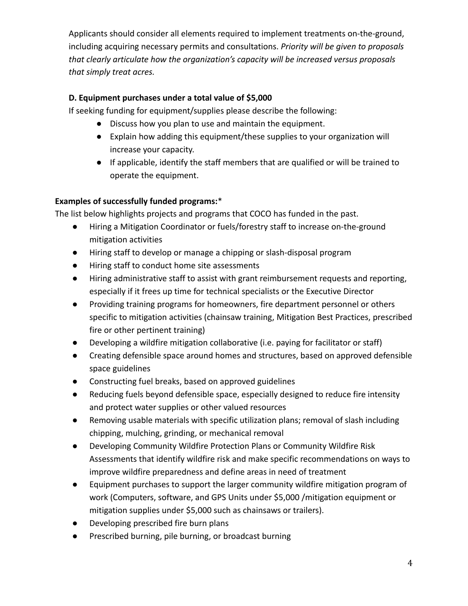Applicants should consider all elements required to implement treatments on-the-ground, including acquiring necessary permits and consultations. *Priority will be given to proposals that clearly articulate how the organization's capacity will be increased versus proposals that simply treat acres.*

## **D. Equipment purchases under a total value of \$5,000**

If seeking funding for equipment/supplies please describe the following:

- Discuss how you plan to use and maintain the equipment.
- Explain how adding this equipment/these supplies to your organization will increase your capacity.
- If applicable, identify the staff members that are qualified or will be trained to operate the equipment.

# **Examples of successfully funded programs:**\*

The list below highlights projects and programs that COCO has funded in the past.

- Hiring a Mitigation Coordinator or fuels/forestry staff to increase on-the-ground mitigation activities
- Hiring staff to develop or manage a chipping or slash-disposal program
- Hiring staff to conduct home site assessments
- Hiring administrative staff to assist with grant reimbursement requests and reporting, especially if it frees up time for technical specialists or the Executive Director
- Providing training programs for homeowners, fire department personnel or others specific to mitigation activities (chainsaw training, Mitigation Best Practices, prescribed fire or other pertinent training)
- Developing a wildfire mitigation collaborative (i.e. paying for facilitator or staff)
- Creating defensible space around homes and structures, based on approved defensible space guidelines
- Constructing fuel breaks, based on approved guidelines
- Reducing fuels beyond defensible space, especially designed to reduce fire intensity and protect water supplies or other valued resources
- Removing usable materials with specific utilization plans; removal of slash including chipping, mulching, grinding, or mechanical removal
- Developing Community Wildfire Protection Plans or Community Wildfire Risk Assessments that identify wildfire risk and make specific recommendations on ways to improve wildfire preparedness and define areas in need of treatment
- Equipment purchases to support the larger community wildfire mitigation program of work (Computers, software, and GPS Units under \$5,000 /mitigation equipment or mitigation supplies under \$5,000 such as chainsaws or trailers).
- Developing prescribed fire burn plans
- Prescribed burning, pile burning, or broadcast burning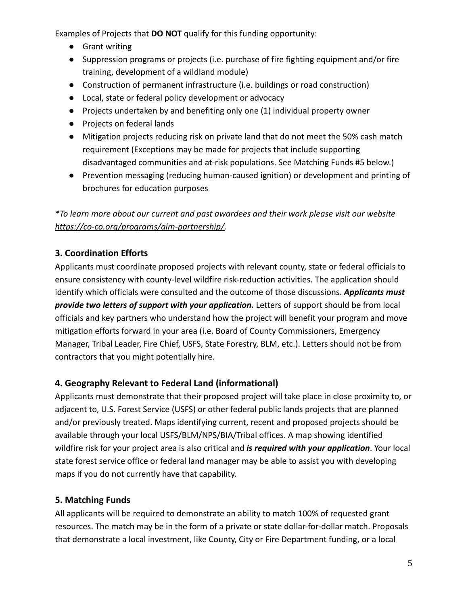Examples of Projects that **DO NOT** qualify for this funding opportunity:

- Grant writing
- Suppression programs or projects (i.e. purchase of fire fighting equipment and/or fire training, development of a wildland module)
- Construction of permanent infrastructure (i.e. buildings or road construction)
- Local, state or federal policy development or advocacy
- Projects undertaken by and benefiting only one (1) individual property owner
- Projects on federal lands
- Mitigation projects reducing risk on private land that do not meet the 50% cash match requirement (Exceptions may be made for projects that include supporting disadvantaged communities and at-risk populations. See Matching Funds #5 below.)
- Prevention messaging (reducing human-caused ignition) or development and printing of brochures for education purposes

*\*To learn more about our current and past awardees and their work please visit our website [https://co-co.org/programs/aim-partnership/.](https://co-co.org/programs/aim-partnership/)*

# **3. Coordination Efforts**

Applicants must coordinate proposed projects with relevant county, state or federal officials to ensure consistency with county-level wildfire risk-reduction activities. The application should identify which officials were consulted and the outcome of those discussions. *Applicants must provide two letters of support with your application.* Letters of support should be from local officials and key partners who understand how the project will benefit your program and move mitigation efforts forward in your area (i.e. Board of County Commissioners, Emergency Manager, Tribal Leader, Fire Chief, USFS, State Forestry, BLM, etc.). Letters should not be from contractors that you might potentially hire.

# **4. Geography Relevant to Federal Land (informational)**

Applicants must demonstrate that their proposed project will take place in close proximity to, or adjacent to, U.S. Forest Service (USFS) or other federal public lands projects that are planned and/or previously treated. Maps identifying current, recent and proposed projects should be available through your local USFS/BLM/NPS/BIA/Tribal offices. A map showing identified wildfire risk for your project area is also critical and *is required with your application*. Your local state forest service office or federal land manager may be able to assist you with developing maps if you do not currently have that capability.

# **5. Matching Funds**

All applicants will be required to demonstrate an ability to match 100% of requested grant resources. The match may be in the form of a private or state dollar-for-dollar match. Proposals that demonstrate a local investment, like County, City or Fire Department funding, or a local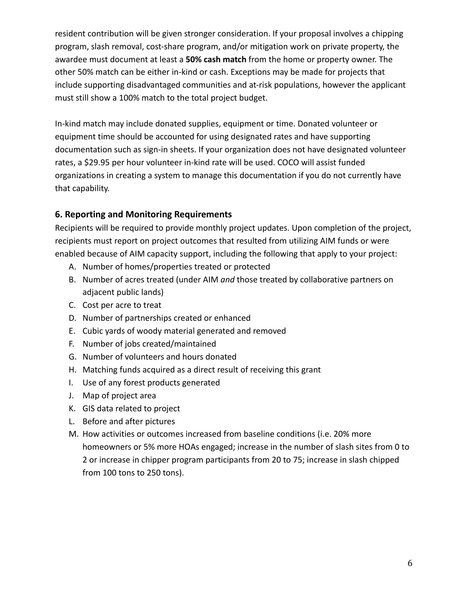resident contribution will be given stronger consideration. If your proposal involves a chipping program, slash removal, cost-share program, and/or mitigation work on private property, the awardee must document at least a **50% cash match** from the home or property owner. The other 50% match can be either in-kind or cash. Exceptions may be made for projects that include supporting disadvantaged communities and at-risk populations, however the applicant must still show a 100% match to the total project budget.

In-kind match may include donated supplies, equipment or time. Donated volunteer or equipment time should be accounted for using designated rates and have supporting documentation such as sign-in sheets. If your organization does not have designated volunteer rates, a \$29.95 per hour volunteer in-kind rate will be used. COCO will assist funded organizations in creating a system to manage this documentation if you do not currently have that capability.

# **6. Reporting and Monitoring Requirements**

Recipients will be required to provide monthly project updates. Upon completion of the project, recipients must report on project outcomes that resulted from utilizing AIM funds or were enabled because of AIM capacity support, including the following that apply to your project:

- A. Number of homes/properties treated or protected
- B. Number of acres treated (under AIM *and* those treated by collaborative partners on adjacent public lands)
- C. Cost per acre to treat
- D. Number of partnerships created or enhanced
- E. Cubic yards of woody material generated and removed
- F. Number of jobs created/maintained
- G. Number of volunteers and hours donated
- H. Matching funds acquired as a direct result of receiving this grant
- I. Use of any forest products generated
- J. Map of project area
- K. GIS data related to project
- L. Before and after pictures
- M. How activities or outcomes increased from baseline conditions (i.e. 20% more homeowners or 5% more HOAs engaged; increase in the number of slash sites from 0 to 2 or increase in chipper program participants from 20 to 75; increase in slash chipped from 100 tons to 250 tons).